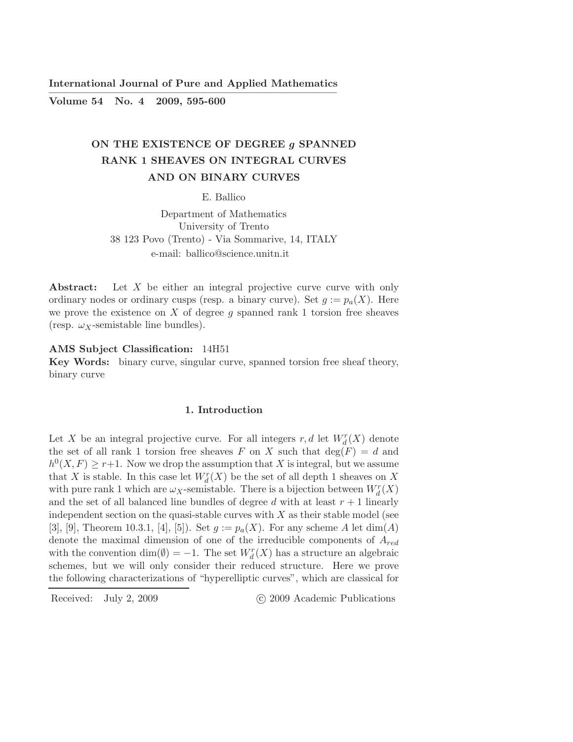International Journal of Pure and Applied Mathematics ————————————————————————–

Volume 54 No. 4 2009, 595-600

# ON THE EXISTENCE OF DEGREE g SPANNED RANK 1 SHEAVES ON INTEGRAL CURVES AND ON BINARY CURVES

E. Ballico

Department of Mathematics University of Trento 38 123 Povo (Trento) - Via Sommarive, 14, ITALY e-mail: ballico@science.unitn.it

Abstract: Let X be either an integral projective curve curve with only ordinary nodes or ordinary cusps (resp. a binary curve). Set  $g := p_a(X)$ . Here we prove the existence on  $X$  of degree  $g$  spanned rank 1 torsion free sheaves (resp.  $\omega_X$ -semistable line bundles).

# AMS Subject Classification: 14H51

Key Words: binary curve, singular curve, spanned torsion free sheaf theory, binary curve

### 1. Introduction

Let X be an integral projective curve. For all integers  $r, d$  let  $W_d^r(X)$  denote the set of all rank 1 torsion free sheaves F on X such that  $\deg(F) = d$  and  $h^0(X, F) \geq r+1$ . Now we drop the assumption that X is integral, but we assume that X is stable. In this case let  $W_d^r(X)$  be the set of all depth 1 sheaves on X with pure rank 1 which are  $\omega_X$ -semistable. There is a bijection between  $W^r_d(X)$ and the set of all balanced line bundles of degree d with at least  $r + 1$  linearly independent section on the quasi-stable curves with  $X$  as their stable model (see [3], [9], Theorem 10.3.1, [4], [5]). Set  $g := p_a(X)$ . For any scheme A let  $dim(A)$ denote the maximal dimension of one of the irreducible components of  $A_{red}$ with the convention  $\dim(\emptyset) = -1$ . The set  $W_d^r(X)$  has a structure an algebraic schemes, but we will only consider their reduced structure. Here we prove the following characterizations of "hyperelliptic curves", which are classical for

Received: July 2, 2009 (C) 2009 Academic Publications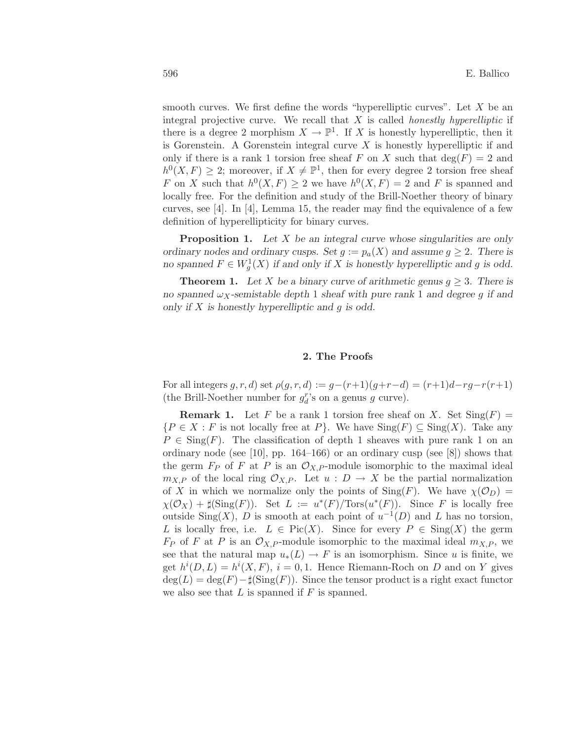smooth curves. We first define the words "hyperelliptic curves". Let  $X$  be an integral projective curve. We recall that  $X$  is called *honestly hyperelliptic* if there is a degree 2 morphism  $X \to \mathbb{P}^1$ . If X is honestly hyperelliptic, then it is Gorenstein. A Gorenstein integral curve  $X$  is honestly hyperelliptic if and only if there is a rank 1 torsion free sheaf F on X such that  $deg(F) = 2$  and  $h^0(X, F) \geq 2$ ; moreover, if  $X \neq \mathbb{P}^1$ , then for every degree 2 torsion free sheaf F on X such that  $h^0(X, F) \geq 2$  we have  $h^0(X, F) = 2$  and F is spanned and locally free. For the definition and study of the Brill-Noether theory of binary curves, see [4]. In [4], Lemma 15, the reader may find the equivalence of a few definition of hyperellipticity for binary curves.

**Proposition 1.** Let X be an integral curve whose singularities are only ordinary nodes and ordinary cusps. Set  $g := p_a(X)$  and assume  $g \geq 2$ . There is no spanned  $F \in W_g^1(X)$  if and only if X is honestly hyperelliptic and g is odd.

**Theorem 1.** Let X be a binary curve of arithmetic genus  $q \geq 3$ . There is no spanned  $\omega_X$ -semistable depth 1 sheaf with pure rank 1 and degree g if and only if  $X$  is honestly hyperelliptic and  $g$  is odd.

# 2. The Proofs

For all integers  $g, r, d$  set  $\rho(g, r, d) := g - (r+1)(g+r-d) = (r+1)d - rg - r(r+1)$ (the Brill-Noether number for  $g_d^r$ 's on a genus  $g$  curve).

**Remark 1.** Let F be a rank 1 torsion free sheaf on X. Set  $\text{Sing}(F)$  =  ${P \in X : F \text{ is not locally free at } P}$ . We have  $\text{Sing}(F) \subseteq \text{Sing}(X)$ . Take any  $P \in \text{Sing}(F)$ . The classification of depth 1 sheaves with pure rank 1 on an ordinary node (see [10], pp. 164–166) or an ordinary cusp (see [8]) shows that the germ  $F_P$  of F at P is an  $\mathcal{O}_{X,P}$ -module isomorphic to the maximal ideal  $m_{X,P}$  of the local ring  $\mathcal{O}_{X,P}$ . Let  $u : D \to X$  be the partial normalization of X in which we normalize only the points of  $\text{Sing}(F)$ . We have  $\chi(\mathcal{O}_D)$  =  $\chi(\mathcal{O}_X) + \sharp(\operatorname{Sing}(F))$ . Set  $L := u^*(F)/\operatorname{Tors}(u^*(F))$ . Since F is locally free outside Sing(X), D is smooth at each point of  $u^{-1}(D)$  and L has no torsion, L is locally free, i.e.  $L \in Pic(X)$ . Since for every  $P \in Sing(X)$  the germ  $F_P$  of F at P is an  $\mathcal{O}_{X,P}$ -module isomorphic to the maximal ideal  $m_{X,P}$ , we see that the natural map  $u_*(L) \to F$  is an isomorphism. Since u is finite, we get  $h^{i}(D, L) = h^{i}(X, F), i = 0, 1$ . Hence Riemann-Roch on D and on Y gives  $deg(L) = deg(F) - \sharp(Sing(F))$ . Since the tensor product is a right exact functor we also see that  $L$  is spanned if  $F$  is spanned.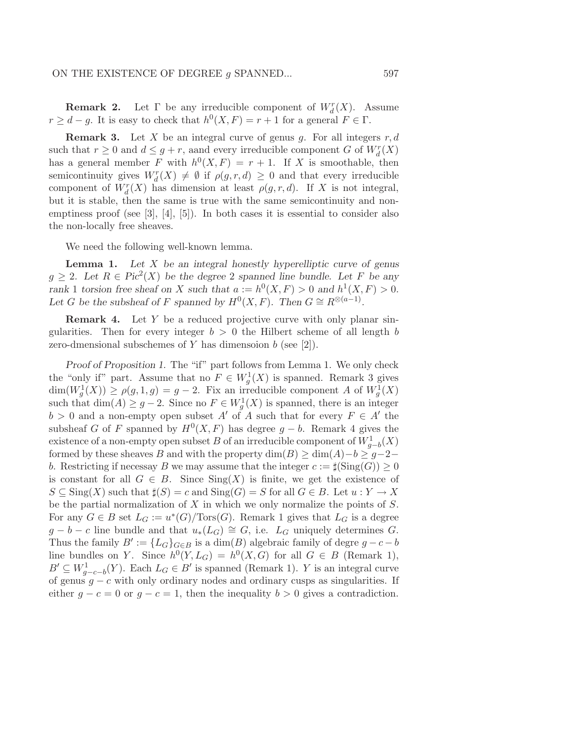**Remark 2.** Let  $\Gamma$  be any irreducible component of  $W_d^r(X)$ . Assume  $r \geq d-g$ . It is easy to check that  $h^0(X, F) = r + 1$  for a general  $F \in \Gamma$ .

**Remark 3.** Let X be an integral curve of genus g. For all integers  $r, d$ such that  $r \geq 0$  and  $d \leq g + r$ , aand every irreducible component G of  $W_d^r(X)$ has a general member F with  $h^0(X, F) = r + 1$ . If X is smoothable, then semicontinuity gives  $W_d^r(X) \neq \emptyset$  if  $\rho(g, r, d) \geq 0$  and that every irreducible component of  $W_d^r(X)$  has dimension at least  $\rho(g, r, d)$ . If X is not integral, but it is stable, then the same is true with the same semicontinuity and nonemptiness proof (see  $[3], [4], [5]$ ). In both cases it is essential to consider also the non-locally free sheaves.

We need the following well-known lemma.

**Lemma 1.** Let  $X$  be an integral honestly hyperelliptic curve of genus  $g \geq 2$ . Let  $R \in Pic<sup>2</sup>(X)$  be the degree 2 spanned line bundle. Let F be any rank 1 torsion free sheaf on X such that  $a := h^0(X, F) > 0$  and  $h^1(X, F) > 0$ . Let G be the subsheaf of F spanned by  $H^0(X, F)$ . Then  $G \cong R^{\otimes (a-1)}$ .

**Remark 4.** Let Y be a reduced projective curve with only planar singularities. Then for every integer  $b > 0$  the Hilbert scheme of all length b zero-dmensional subschemes of Y has dimensoion  $b$  (see [2]).

Proof of Proposition 1. The "if" part follows from Lemma 1. We only check the "only if" part. Assume that no  $F \in W_g^1(X)$  is spanned. Remark 3 gives  $\dim(W_g^1(X)) \ge \rho(g,1,g) = g-2$ . Fix an irreducible component A of  $W_g^1(X)$ such that  $\dim(A) \geq g-2$ . Since no  $F \in W_g^1(X)$  is spanned, there is an integer  $b > 0$  and a non-empty open subset A' of A such that for every  $F \in A'$  the subsheaf G of F spanned by  $H^0(X, F)$  has degree  $g - b$ . Remark 4 gives the existence of a non-empty open subset B of an irreducible component of  $W_{g-b}^1(X)$ formed by these sheaves B and with the property  $\dim(B) \geq \dim(A) - b \geq g-2$ b. Restricting if necessay B we may assume that the integer  $c := \sharp(\text{Sing}(G)) \geq 0$ is constant for all  $G \in B$ . Since  $\text{Sing}(X)$  is finite, we get the existence of  $S \subseteq \text{Sing}(X)$  such that  $\sharp(S) = c$  and  $\text{Sing}(G) = S$  for all  $G \in B$ . Let  $u : Y \to X$ be the partial normalization of  $X$  in which we only normalize the points of  $S$ . For any  $G \in B$  set  $L_G := u^*(G)/\text{Tors}(G)$ . Remark 1 gives that  $L_G$  is a degree  $g - b - c$  line bundle and that  $u_*(L_G) \cong G$ , i.e.  $L_G$  uniquely determines G. Thus the family  $B' := \{L_G\}_{G \in B}$  is a  $\dim(B)$  algebraic family of degre  $g - c - b$ line bundles on Y. Since  $h^0(Y, L_G) = h^0(X, G)$  for all  $G \in B$  (Remark 1),  $B' \subseteq W_{g-c-b}^1(Y)$ . Each  $L_G \in B'$  is spanned (Remark 1). Y is an integral curve of genus  $g - c$  with only ordinary nodes and ordinary cusps as singularities. If either  $q - c = 0$  or  $q - c = 1$ , then the inequality  $b > 0$  gives a contradiction.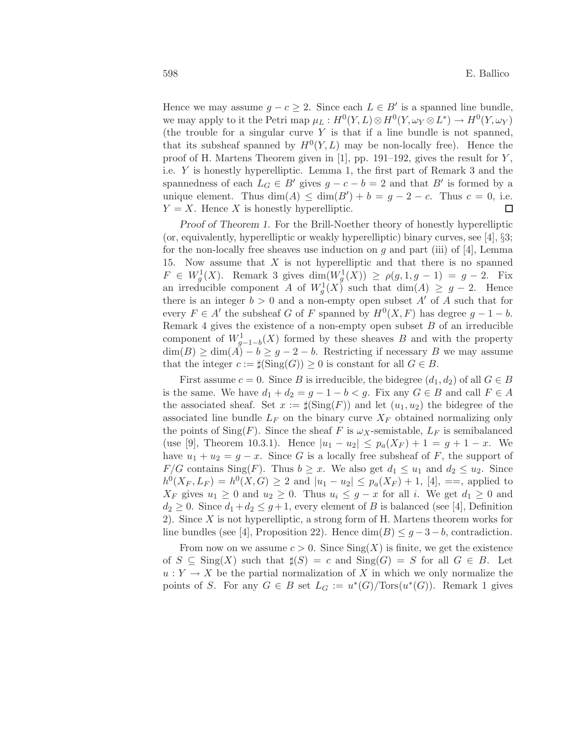Hence we may assume  $g - c \geq 2$ . Since each  $L \in B'$  is a spanned line bundle, we may apply to it the Petri map  $\mu_L: H^0(Y, L) \otimes H^0(Y, \omega_Y \otimes L^*) \to H^0(Y, \omega_Y)$ (the trouble for a singular curve  $Y$  is that if a line bundle is not spanned, that its subsheaf spanned by  $H^0(Y, L)$  may be non-locally free). Hence the proof of H. Martens Theorem given in [1], pp. 191–192, gives the result for  $Y$ , i.e. Y is honestly hyperelliptic. Lemma 1, the first part of Remark 3 and the spannedness of each  $L_G \in B'$  gives  $g - c - b = 2$  and that  $B'$  is formed by a unique element. Thus  $\dim(A) \leq \dim(B') + b = g - 2 - c$ . Thus  $c = 0$ , i.e.  $Y = X$ . Hence X is honestly hyperelliptic.  $\Box$ 

Proof of Theorem 1. For the Brill-Noether theory of honestly hyperelliptic (or, equivalently, hyperelliptic or weakly hyperelliptic) binary curves, see [4], §3; for the non-locally free sheaves use induction on  $q$  and part (iii) of [4], Lemma 15. Now assume that  $X$  is not hyperelliptic and that there is no spanned  $F \in W_g^1(X)$ . Remark 3 gives  $\dim(W_g^1(X)) \ge \rho(g, 1, g-1) = g-2$ . Fix an irreducible component A of  $W_g^1(X)$  such that  $\dim(A) \geq g-2$ . Hence there is an integer  $b > 0$  and a non-empty open subset  $A'$  of A such that for every  $F \in A'$  the subsheaf G of F spanned by  $H^0(X, F)$  has degree  $g - 1 - b$ . Remark 4 gives the existence of a non-empty open subset  $B$  of an irreducible component of  $W_{g-1-b}^1(X)$  formed by these sheaves B and with the property  $\dim(B) \geq \dim(A) - b \geq g - 2 - b$ . Restricting if necessary B we may assume that the integer  $c := \sharp(\text{Sing}(G)) \geq 0$  is constant for all  $G \in B$ .

First assume  $c = 0$ . Since B is irreducible, the bidegree  $(d_1, d_2)$  of all  $G \in B$ is the same. We have  $d_1 + d_2 = g - 1 - b < g$ . Fix any  $G \in B$  and call  $F \in A$ the associated sheaf. Set  $x := \sharp(\operatorname{Sing}(F))$  and let  $(u_1, u_2)$  the bidegree of the associated line bundle  $L_F$  on the binary curve  $X_F$  obtained normalizing only the points of  $\text{Sing}(F)$ . Since the sheaf F is  $\omega_X$ -semistable,  $L_F$  is semibalanced (use [9], Theorem 10.3.1). Hence  $|u_1 - u_2| \leq p_a(X_F) + 1 = g + 1 - x$ . We have  $u_1 + u_2 = g - x$ . Since G is a locally free subsheaf of F, the support of  $F/G$  contains Sing(F). Thus  $b \ge x$ . We also get  $d_1 \le u_1$  and  $d_2 \le u_2$ . Since  $h^0(X_F, L_F) = h^0(X, G) \geq 2$  and  $|u_1 - u_2| \leq p_a(X_F) + 1$ , [4], ==, applied to  $X_F$  gives  $u_1 \geq 0$  and  $u_2 \geq 0$ . Thus  $u_i \leq g - x$  for all i. We get  $d_1 \geq 0$  and  $d_2 \geq 0$ . Since  $d_1 + d_2 \leq g+1$ , every element of B is balanced (see [4], Definition 2). Since X is not hyperelliptic, a strong form of H. Martens theorem works for line bundles (see [4], Proposition 22). Hence  $\dim(B) \leq g-3-b$ , contradiction.

From now on we assume  $c > 0$ . Since  $\text{Sing}(X)$  is finite, we get the existence of  $S \subseteq \text{Sing}(X)$  such that  $\sharp(S) = c$  and  $\text{Sing}(G) = S$  for all  $G \in B$ . Let  $u: Y \to X$  be the partial normalization of X in which we only normalize the points of S. For any  $G \in B$  set  $L_G := u^*(G)/\text{Tors}(u^*(G))$ . Remark 1 gives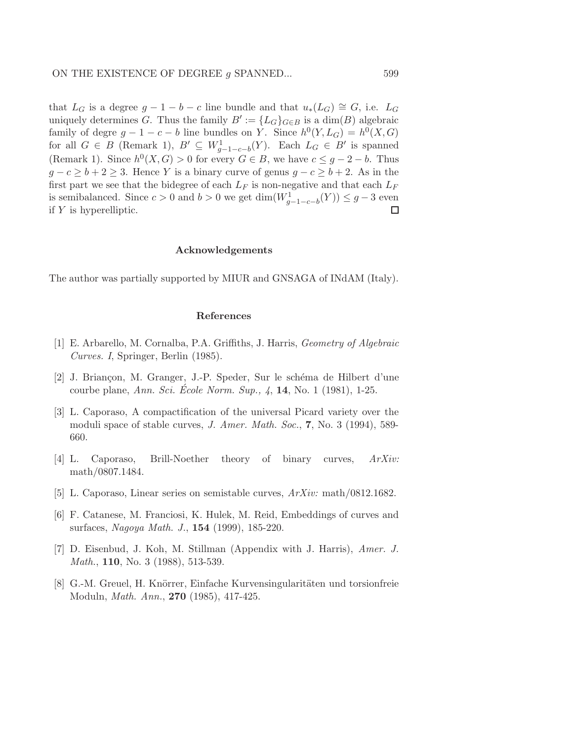that  $L_G$  is a degree  $g - 1 - b - c$  line bundle and that  $u_*(L_G) \cong G$ , i.e.  $L_G$ uniquely determines G. Thus the family  $B' := \{L_G\}_{G \in B}$  is a  $\dim(B)$  algebraic family of degre  $g - 1 - c - b$  line bundles on Y. Since  $h^0(Y, L_G) = h^0(X, G)$ for all  $G \in B$  (Remark 1),  $B' \subseteq W_{g-1-c-b}^1(Y)$ . Each  $L_G \in B'$  is spanned (Remark 1). Since  $h^0(X, G) > 0$  for every  $G \in B$ , we have  $c \leq g - 2 - b$ . Thus  $g - c \ge b + 2 \ge 3$ . Hence Y is a binary curve of genus  $g - c \ge b + 2$ . As in the first part we see that the bidegree of each  $L_F$  is non-negative and that each  $L_F$ is semibalanced. Since  $c > 0$  and  $b > 0$  we get  $\dim(W_{g-1-c-b}^1(Y)) \leq g-3$  even if Y is hyperelliptic.  $\Box$ 

#### Acknowledgements

The author was partially supported by MIUR and GNSAGA of INdAM (Italy).

#### References

- [1] E. Arbarello, M. Cornalba, P.A. Griffiths, J. Harris, *Geometry of Algebraic Curves. I*, Springer, Berlin (1985).
- [2] J. Briançon, M. Granger, J.-P. Speder, Sur le schéma de Hilbert d'une courbe plane, *Ann. Sci. Ecole Norm. Sup., 4 ´* , 14, No. 1 (1981), 1-25.
- [3] L. Caporaso, A compactification of the universal Picard variety over the moduli space of stable curves, *J. Amer. Math. Soc.*, 7, No. 3 (1994), 589- 660.
- [4] L. Caporaso, Brill-Noether theory of binary curves, *ArXiv:* math/0807.1484.
- [5] L. Caporaso, Linear series on semistable curves, *ArXiv:* math/0812.1682.
- [6] F. Catanese, M. Franciosi, K. Hulek, M. Reid, Embeddings of curves and surfaces, *Nagoya Math. J.*, 154 (1999), 185-220.
- [7] D. Eisenbud, J. Koh, M. Stillman (Appendix with J. Harris), *Amer. J. Math.*, **110**, No. 3 (1988), 513-539.
- [8] G.-M. Greuel, H. Knörrer, Einfache Kurvensingularitäten und torsionfreie Moduln, *Math. Ann.*, 270 (1985), 417-425.